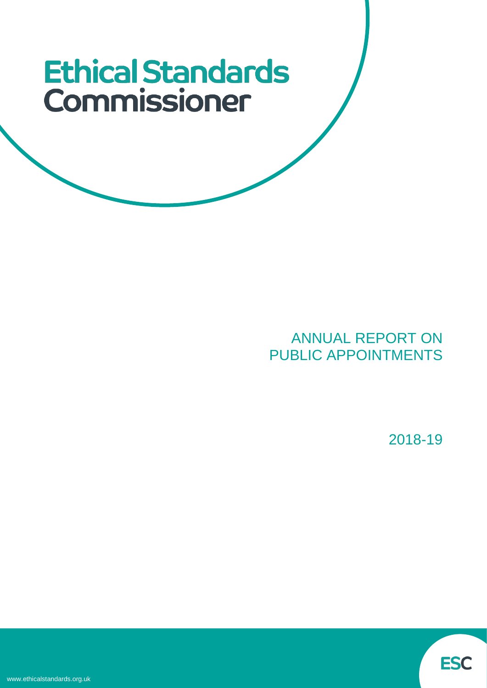## ANNUAL REPORT ON PUBLIC APPOINTMENTS

2018-19

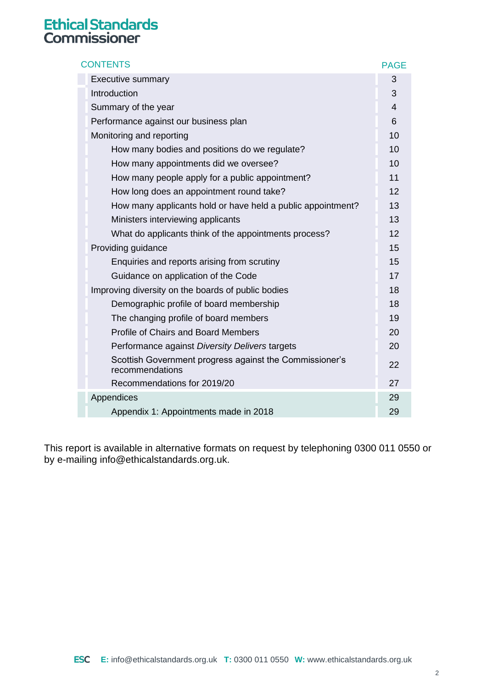| <b>CONTENTS</b>                                                            | <b>PAGE</b>    |
|----------------------------------------------------------------------------|----------------|
| <b>Executive summary</b>                                                   | 3              |
| Introduction                                                               | 3              |
| Summary of the year                                                        | $\overline{4}$ |
| Performance against our business plan                                      | 6              |
| Monitoring and reporting                                                   | 10             |
| How many bodies and positions do we regulate?                              | 10             |
| How many appointments did we oversee?                                      | 10             |
| How many people apply for a public appointment?                            | 11             |
| How long does an appointment round take?                                   | 12             |
| How many applicants hold or have held a public appointment?                | 13             |
| Ministers interviewing applicants                                          | 13             |
| What do applicants think of the appointments process?                      | 12             |
| Providing guidance                                                         | 15             |
| Enquiries and reports arising from scrutiny                                | 15             |
| Guidance on application of the Code                                        | 17             |
| Improving diversity on the boards of public bodies                         | 18             |
| Demographic profile of board membership                                    | 18             |
| The changing profile of board members                                      | 19             |
| <b>Profile of Chairs and Board Members</b>                                 | 20             |
| Performance against Diversity Delivers targets                             | 20             |
| Scottish Government progress against the Commissioner's<br>recommendations | 22             |
| Recommendations for 2019/20                                                | 27             |
| Appendices                                                                 | 29             |
| Appendix 1: Appointments made in 2018                                      | 29             |

This report is available in alternative formats on request by telephoning 0300 011 0550 or by e-mailing info@ethicalstandards.org.uk.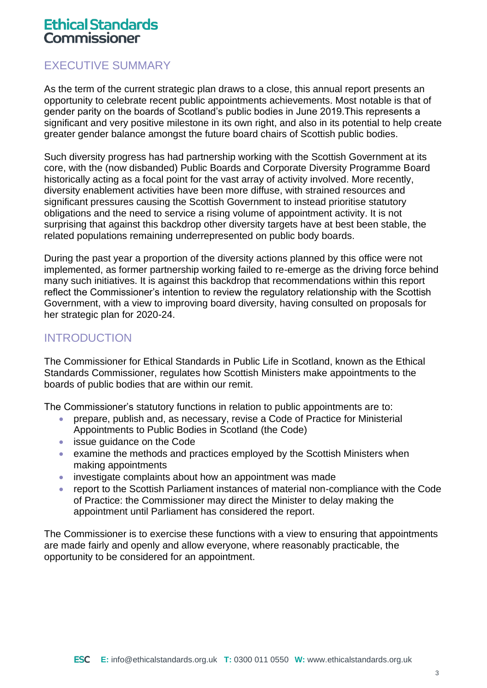### EXECUTIVE SUMMARY

As the term of the current strategic plan draws to a close, this annual report presents an opportunity to celebrate recent public appointments achievements. Most notable is that of gender parity on the boards of Scotland's public bodies in June 2019.This represents a significant and very positive milestone in its own right, and also in its potential to help create greater gender balance amongst the future board chairs of Scottish public bodies.

Such diversity progress has had partnership working with the Scottish Government at its core, with the (now disbanded) Public Boards and Corporate Diversity Programme Board historically acting as a focal point for the vast array of activity involved. More recently, diversity enablement activities have been more diffuse, with strained resources and significant pressures causing the Scottish Government to instead prioritise statutory obligations and the need to service a rising volume of appointment activity. It is not surprising that against this backdrop other diversity targets have at best been stable, the related populations remaining underrepresented on public body boards.

During the past year a proportion of the diversity actions planned by this office were not implemented, as former partnership working failed to re-emerge as the driving force behind many such initiatives. It is against this backdrop that recommendations within this report reflect the Commissioner's intention to review the regulatory relationship with the Scottish Government, with a view to improving board diversity, having consulted on proposals for her strategic plan for 2020-24.

### INTRODUCTION

The Commissioner for Ethical Standards in Public Life in Scotland, known as the Ethical Standards Commissioner, regulates how Scottish Ministers make appointments to the boards of public bodies that are within our remit.

The Commissioner's statutory functions in relation to public appointments are to:

- prepare, publish and, as necessary, revise a Code of Practice for Ministerial Appointments to Public Bodies in Scotland (the Code)
- issue quidance on the Code
- examine the methods and practices employed by the Scottish Ministers when making appointments
- investigate complaints about how an appointment was made
- report to the Scottish Parliament instances of material non-compliance with the Code of Practice: the Commissioner may direct the Minister to delay making the appointment until Parliament has considered the report.

The Commissioner is to exercise these functions with a view to ensuring that appointments are made fairly and openly and allow everyone, where reasonably practicable, the opportunity to be considered for an appointment.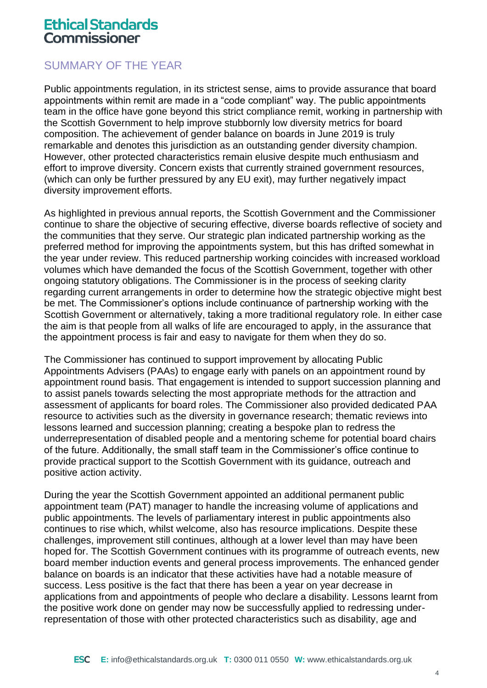### SUMMARY OF THE YEAR

Public appointments regulation, in its strictest sense, aims to provide assurance that board appointments within remit are made in a "code compliant" way. The public appointments team in the office have gone beyond this strict compliance remit, working in partnership with the Scottish Government to help improve stubbornly low diversity metrics for board composition. The achievement of gender balance on boards in June 2019 is truly remarkable and denotes this jurisdiction as an outstanding gender diversity champion. However, other protected characteristics remain elusive despite much enthusiasm and effort to improve diversity. Concern exists that currently strained government resources, (which can only be further pressured by any EU exit), may further negatively impact diversity improvement efforts.

As highlighted in previous annual reports, the Scottish Government and the Commissioner continue to share the objective of securing effective, diverse boards reflective of society and the communities that they serve. Our strategic plan indicated partnership working as the preferred method for improving the appointments system, but this has drifted somewhat in the year under review. This reduced partnership working coincides with increased workload volumes which have demanded the focus of the Scottish Government, together with other ongoing statutory obligations. The Commissioner is in the process of seeking clarity regarding current arrangements in order to determine how the strategic objective might best be met. The Commissioner's options include continuance of partnership working with the Scottish Government or alternatively, taking a more traditional regulatory role. In either case the aim is that people from all walks of life are encouraged to apply, in the assurance that the appointment process is fair and easy to navigate for them when they do so.

The Commissioner has continued to support improvement by allocating Public Appointments Advisers (PAAs) to engage early with panels on an appointment round by appointment round basis. That engagement is intended to support succession planning and to assist panels towards selecting the most appropriate methods for the attraction and assessment of applicants for board roles. The Commissioner also provided dedicated PAA resource to activities such as the diversity in governance research; thematic reviews into lessons learned and succession planning; creating a bespoke plan to redress the underrepresentation of disabled people and a mentoring scheme for potential board chairs of the future. Additionally, the small staff team in the Commissioner's office continue to provide practical support to the Scottish Government with its guidance, outreach and positive action activity.

During the year the Scottish Government appointed an additional permanent public appointment team (PAT) manager to handle the increasing volume of applications and public appointments. The levels of parliamentary interest in public appointments also continues to rise which, whilst welcome, also has resource implications. Despite these challenges, improvement still continues, although at a lower level than may have been hoped for. The Scottish Government continues with its programme of outreach events, new board member induction events and general process improvements. The enhanced gender balance on boards is an indicator that these activities have had a notable measure of success. Less positive is the fact that there has been a year on year decrease in applications from and appointments of people who declare a disability. Lessons learnt from the positive work done on gender may now be successfully applied to redressing underrepresentation of those with other protected characteristics such as disability, age and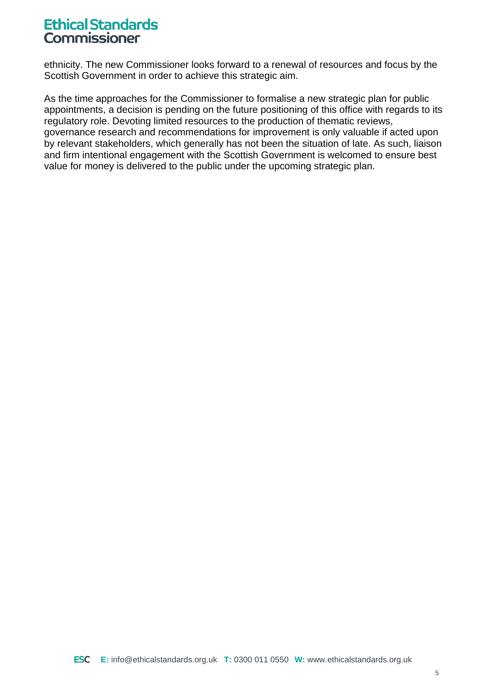ethnicity. The new Commissioner looks forward to a renewal of resources and focus by the Scottish Government in order to achieve this strategic aim.

As the time approaches for the Commissioner to formalise a new strategic plan for public appointments, a decision is pending on the future positioning of this office with regards to its regulatory role. Devoting limited resources to the production of thematic reviews, governance research and recommendations for improvement is only valuable if acted upon by relevant stakeholders, which generally has not been the situation of late. As such, liaison and firm intentional engagement with the Scottish Government is welcomed to ensure best value for money is delivered to the public under the upcoming strategic plan.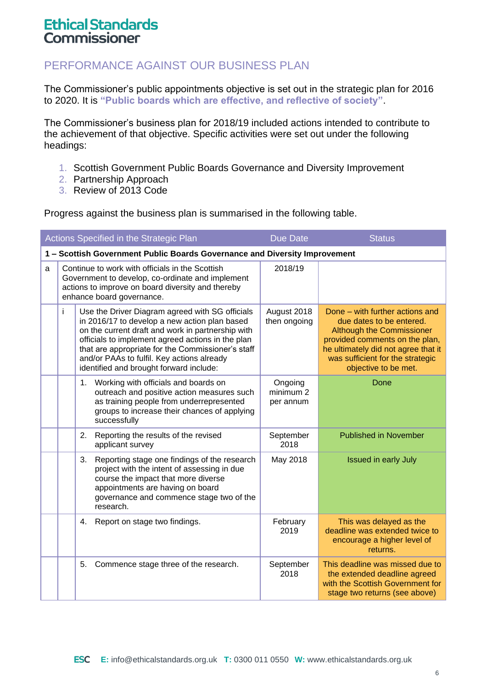### PERFORMANCE AGAINST OUR BUSINESS PLAN

The Commissioner's public appointments objective is set out in the strategic plan for 2016 to 2020. It is **"Public boards which are effective, and reflective of society"**.

The Commissioner's business plan for 2018/19 included actions intended to contribute to the achievement of that objective. Specific activities were set out under the following headings:

- 1. Scottish Government Public Boards Governance and Diversity Improvement
- 2. Partnership Approach
- 3. Review of 2013 Code

Progress against the business plan is summarised in the following table.

|   |    | Actions Specified in the Strategic Plan                                                                                                                                                                                                                                                                                                                  | <b>Due Date</b>                              | <b>Status</b>                                                                                                                                                                                                                 |
|---|----|----------------------------------------------------------------------------------------------------------------------------------------------------------------------------------------------------------------------------------------------------------------------------------------------------------------------------------------------------------|----------------------------------------------|-------------------------------------------------------------------------------------------------------------------------------------------------------------------------------------------------------------------------------|
|   |    | 1 - Scottish Government Public Boards Governance and Diversity Improvement                                                                                                                                                                                                                                                                               |                                              |                                                                                                                                                                                                                               |
| a |    | Continue to work with officials in the Scottish<br>Government to develop, co-ordinate and implement<br>actions to improve on board diversity and thereby<br>enhance board governance.                                                                                                                                                                    | 2018/19                                      |                                                                                                                                                                                                                               |
|   | i. | Use the Driver Diagram agreed with SG officials<br>in 2016/17 to develop a new action plan based<br>on the current draft and work in partnership with<br>officials to implement agreed actions in the plan<br>that are appropriate for the Commissioner's staff<br>and/or PAAs to fulfil. Key actions already<br>identified and brought forward include: | August 2018<br>then ongoing                  | Done – with further actions and<br>due dates to be entered.<br>Although the Commissioner<br>provided comments on the plan,<br>he ultimately did not agree that it<br>was sufficient for the strategic<br>objective to be met. |
|   |    | Working with officials and boards on<br>1.<br>outreach and positive action measures such<br>as training people from underrepresented<br>groups to increase their chances of applying<br>successfully                                                                                                                                                     | Ongoing<br>minimum <sub>2</sub><br>per annum | Done                                                                                                                                                                                                                          |
|   |    | Reporting the results of the revised<br>2.<br>applicant survey                                                                                                                                                                                                                                                                                           | September<br>2018                            | <b>Published in November</b>                                                                                                                                                                                                  |
|   |    | 3.<br>Reporting stage one findings of the research<br>project with the intent of assessing in due<br>course the impact that more diverse<br>appointments are having on board<br>governance and commence stage two of the<br>research.                                                                                                                    | May 2018                                     | Issued in early July                                                                                                                                                                                                          |
|   |    | Report on stage two findings.<br>4.                                                                                                                                                                                                                                                                                                                      | February<br>2019                             | This was delayed as the<br>deadline was extended twice to<br>encourage a higher level of<br>returns.                                                                                                                          |
|   |    | 5.<br>Commence stage three of the research.                                                                                                                                                                                                                                                                                                              | September<br>2018                            | This deadline was missed due to<br>the extended deadline agreed<br>with the Scottish Government for<br>stage two returns (see above)                                                                                          |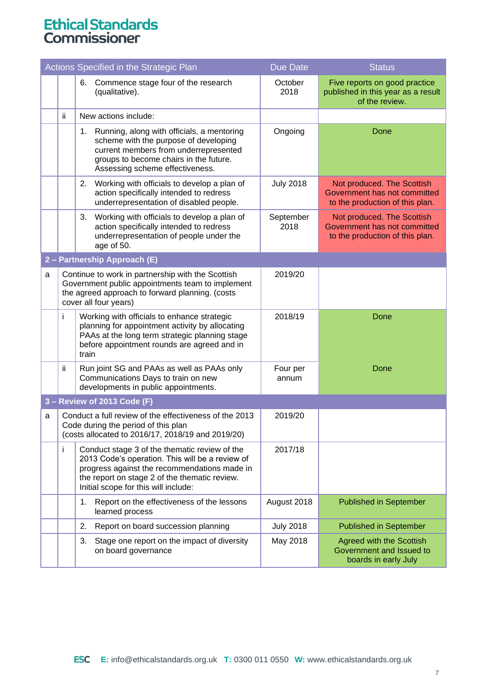|   |                                                                                                                                                                                                                                                 | Actions Specified in the Strategic Plan                                                                                                                                                                         | <b>Due Date</b>   | <b>Status</b>                                                                                 |  |  |  |
|---|-------------------------------------------------------------------------------------------------------------------------------------------------------------------------------------------------------------------------------------------------|-----------------------------------------------------------------------------------------------------------------------------------------------------------------------------------------------------------------|-------------------|-----------------------------------------------------------------------------------------------|--|--|--|
|   |                                                                                                                                                                                                                                                 | 6. Commence stage four of the research<br>(qualitative).                                                                                                                                                        | October<br>2018   | Five reports on good practice<br>published in this year as a result<br>of the review.         |  |  |  |
|   | ii.                                                                                                                                                                                                                                             | New actions include:                                                                                                                                                                                            |                   |                                                                                               |  |  |  |
|   |                                                                                                                                                                                                                                                 | Running, along with officials, a mentoring<br>1.<br>scheme with the purpose of developing<br>current members from underrepresented<br>groups to become chairs in the future.<br>Assessing scheme effectiveness. | Ongoing           | Done                                                                                          |  |  |  |
|   |                                                                                                                                                                                                                                                 | Working with officials to develop a plan of<br>2.<br>action specifically intended to redress<br>underrepresentation of disabled people.                                                                         | <b>July 2018</b>  | Not produced. The Scottish<br>Government has not committed<br>to the production of this plan. |  |  |  |
|   |                                                                                                                                                                                                                                                 | Working with officials to develop a plan of<br>3.<br>action specifically intended to redress<br>underrepresentation of people under the<br>age of 50.                                                           | September<br>2018 | Not produced. The Scottish<br>Government has not committed<br>to the production of this plan. |  |  |  |
|   | 2 – Partnership Approach (E)                                                                                                                                                                                                                    |                                                                                                                                                                                                                 |                   |                                                                                               |  |  |  |
| a |                                                                                                                                                                                                                                                 | Continue to work in partnership with the Scottish<br>Government public appointments team to implement<br>the agreed approach to forward planning. (costs<br>cover all four years)                               | 2019/20           |                                                                                               |  |  |  |
|   | Ť                                                                                                                                                                                                                                               | Working with officials to enhance strategic<br>planning for appointment activity by allocating<br>PAAs at the long term strategic planning stage<br>before appointment rounds are agreed and in<br>train        | 2018/19           | Done                                                                                          |  |  |  |
|   | ïi                                                                                                                                                                                                                                              | Run joint SG and PAAs as well as PAAs only<br>Communications Days to train on new<br>developments in public appointments.                                                                                       | Four per<br>annum | Done                                                                                          |  |  |  |
|   |                                                                                                                                                                                                                                                 | 3 - Review of 2013 Code (F)                                                                                                                                                                                     |                   |                                                                                               |  |  |  |
| a |                                                                                                                                                                                                                                                 | Conduct a full review of the effectiveness of the 2013<br>Code during the period of this plan<br>(costs allocated to 2016/17, 2018/19 and 2019/20)                                                              | 2019/20           |                                                                                               |  |  |  |
|   | j.<br>Conduct stage 3 of the thematic review of the<br>2013 Code's operation. This will be a review of<br>progress against the recommendations made in<br>the report on stage 2 of the thematic review.<br>Initial scope for this will include: |                                                                                                                                                                                                                 | 2017/18           |                                                                                               |  |  |  |
|   |                                                                                                                                                                                                                                                 | Report on the effectiveness of the lessons<br>1.<br>learned process                                                                                                                                             | August 2018       | <b>Published in September</b>                                                                 |  |  |  |
|   |                                                                                                                                                                                                                                                 | Report on board succession planning<br>2.                                                                                                                                                                       | <b>July 2018</b>  | <b>Published in September</b>                                                                 |  |  |  |
|   |                                                                                                                                                                                                                                                 | Stage one report on the impact of diversity<br>3.<br>on board governance                                                                                                                                        | May 2018          | Agreed with the Scottish<br>Government and Issued to<br>boards in early July                  |  |  |  |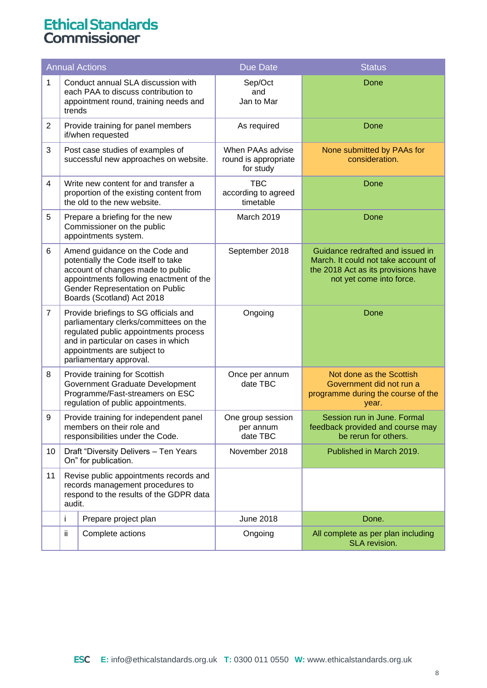|                |                                                                                                                                                                                                                        | <b>Annual Actions</b>                                                                                                                                                                                                     | <b>Due Date</b>                                       | <b>Status</b>                                                                                                                              |
|----------------|------------------------------------------------------------------------------------------------------------------------------------------------------------------------------------------------------------------------|---------------------------------------------------------------------------------------------------------------------------------------------------------------------------------------------------------------------------|-------------------------------------------------------|--------------------------------------------------------------------------------------------------------------------------------------------|
| 1              | Conduct annual SLA discussion with<br>each PAA to discuss contribution to<br>appointment round, training needs and<br>trends                                                                                           |                                                                                                                                                                                                                           | Sep/Oct<br>and<br>Jan to Mar                          | Done                                                                                                                                       |
| $\overline{2}$ |                                                                                                                                                                                                                        | Provide training for panel members<br>if/when requested                                                                                                                                                                   | As required                                           | Done                                                                                                                                       |
| 3              |                                                                                                                                                                                                                        | Post case studies of examples of<br>successful new approaches on website.                                                                                                                                                 | When PAAs advise<br>round is appropriate<br>for study | None submitted by PAAs for<br>consideration.                                                                                               |
| $\overline{4}$ |                                                                                                                                                                                                                        | Write new content for and transfer a<br>proportion of the existing content from<br>the old to the new website.                                                                                                            | <b>TBC</b><br>according to agreed<br>timetable        | Done                                                                                                                                       |
| 5              |                                                                                                                                                                                                                        | Prepare a briefing for the new<br>Commissioner on the public<br>appointments system.                                                                                                                                      | March 2019                                            | Done                                                                                                                                       |
| 6              | Amend guidance on the Code and<br>potentially the Code itself to take<br>account of changes made to public<br>appointments following enactment of the<br>Gender Representation on Public<br>Boards (Scotland) Act 2018 |                                                                                                                                                                                                                           | September 2018                                        | Guidance redrafted and issued in<br>March. It could not take account of<br>the 2018 Act as its provisions have<br>not yet come into force. |
| $\overline{7}$ |                                                                                                                                                                                                                        | Provide briefings to SG officials and<br>parliamentary clerks/committees on the<br>regulated public appointments process<br>and in particular on cases in which<br>appointments are subject to<br>parliamentary approval. | Ongoing                                               | Done                                                                                                                                       |
| 8              |                                                                                                                                                                                                                        | Provide training for Scottish<br>Government Graduate Development<br>Programme/Fast-streamers on ESC<br>regulation of public appointments.                                                                                 | Once per annum<br>date TBC                            | Not done as the Scottish<br>Government did not run a<br>programme during the course of the<br>year.                                        |
| 9              |                                                                                                                                                                                                                        | Provide training for independent panel<br>One group session<br>members on their role and<br>per annum<br>date TBC<br>responsibilities under the Code.                                                                     |                                                       | Session run in June. Formal<br>feedback provided and course may<br>be rerun for others.                                                    |
| 10             | Draft "Diversity Delivers - Ten Years<br>On" for publication.                                                                                                                                                          |                                                                                                                                                                                                                           | November 2018                                         | Published in March 2019.                                                                                                                   |
| 11             | Revise public appointments records and<br>records management procedures to<br>respond to the results of the GDPR data<br>audit.                                                                                        |                                                                                                                                                                                                                           |                                                       |                                                                                                                                            |
|                | i                                                                                                                                                                                                                      | Prepare project plan                                                                                                                                                                                                      | <b>June 2018</b>                                      | Done.                                                                                                                                      |
|                | ij.                                                                                                                                                                                                                    | Complete actions                                                                                                                                                                                                          | Ongoing                                               | All complete as per plan including<br>SLA revision.                                                                                        |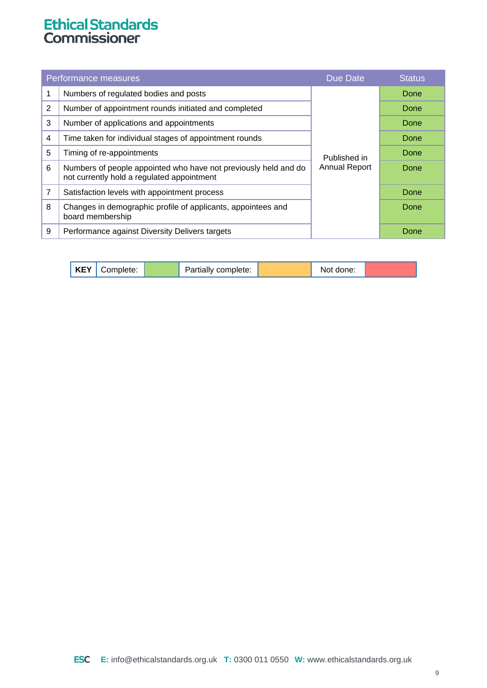|   | Performance measures                                                                                          | Due Date             | <b>Status</b> |
|---|---------------------------------------------------------------------------------------------------------------|----------------------|---------------|
|   | Numbers of regulated bodies and posts                                                                         |                      | Done          |
| 2 | Number of appointment rounds initiated and completed                                                          |                      | Done          |
| 3 | Number of applications and appointments                                                                       |                      | Done          |
| 4 | Time taken for individual stages of appointment rounds                                                        |                      | Done          |
| 5 | Timing of re-appointments                                                                                     | Published in         | Done          |
| 6 | Numbers of people appointed who have not previously held and do<br>not currently hold a regulated appointment | <b>Annual Report</b> | Done          |
| 7 | Satisfaction levels with appointment process                                                                  |                      | Done          |
| 8 | Changes in demographic profile of applicants, appointees and<br>board membership                              |                      | Done          |
| 9 | Performance against Diversity Delivers targets                                                                |                      | Done          |

| KEV<br>.<br>complete.<br>NE 1 | complete:<br>י+י ה∟<br>artialiv · · | done:<br>IM OT |
|-------------------------------|-------------------------------------|----------------|
|-------------------------------|-------------------------------------|----------------|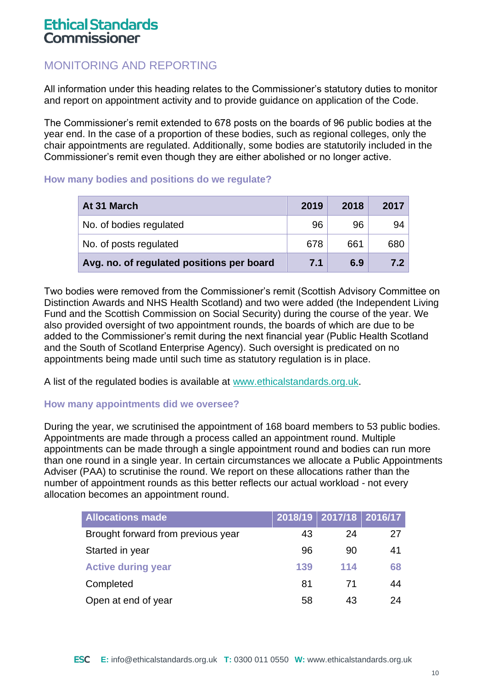### MONITORING AND REPORTING

All information under this heading relates to the Commissioner's statutory duties to monitor and report on appointment activity and to provide guidance on application of the Code.

The Commissioner's remit extended to 678 posts on the boards of 96 public bodies at the year end. In the case of a proportion of these bodies, such as regional colleges, only the chair appointments are regulated. Additionally, some bodies are statutorily included in the Commissioner's remit even though they are either abolished or no longer active.

### **How many bodies and positions do we regulate?**

| At 31 March                               | 2019 | 2018 | 2017 |
|-------------------------------------------|------|------|------|
| No. of bodies regulated                   | 96   | 96   | 94   |
| No. of posts regulated                    | 678  | 661  | 680  |
| Avg. no. of regulated positions per board | 7.1  | 6.9  | 7.2  |

Two bodies were removed from the Commissioner's remit (Scottish Advisory Committee on Distinction Awards and NHS Health Scotland) and two were added (the Independent Living Fund and the Scottish Commission on Social Security) during the course of the year. We also provided oversight of two appointment rounds, the boards of which are due to be added to the Commissioner's remit during the next financial year (Public Health Scotland and the South of Scotland Enterprise Agency). Such oversight is predicated on no appointments being made until such time as statutory regulation is in place.

A list of the regulated bodies is available at [www.ethicalstandards.org.uk.](http://www.ethicalstandards.org.uk/)

### **How many appointments did we oversee?**

During the year, we scrutinised the appointment of 168 board members to 53 public bodies. Appointments are made through a process called an appointment round. Multiple appointments can be made through a single appointment round and bodies can run more than one round in a single year. In certain circumstances we allocate a Public Appointments Adviser (PAA) to scrutinise the round. We report on these allocations rather than the number of appointment rounds as this better reflects our actual workload - not every allocation becomes an appointment round.

| <b>Allocations made</b>            |     | 2018/19   2017/18   2016/17 |    |
|------------------------------------|-----|-----------------------------|----|
| Brought forward from previous year | 43  | 24                          | 27 |
| Started in year                    | 96  | 90                          | 41 |
| <b>Active during year</b>          | 139 | 114                         | 68 |
| Completed                          | 81  | 71                          | 44 |
| Open at end of year                | 58  | 43                          | 24 |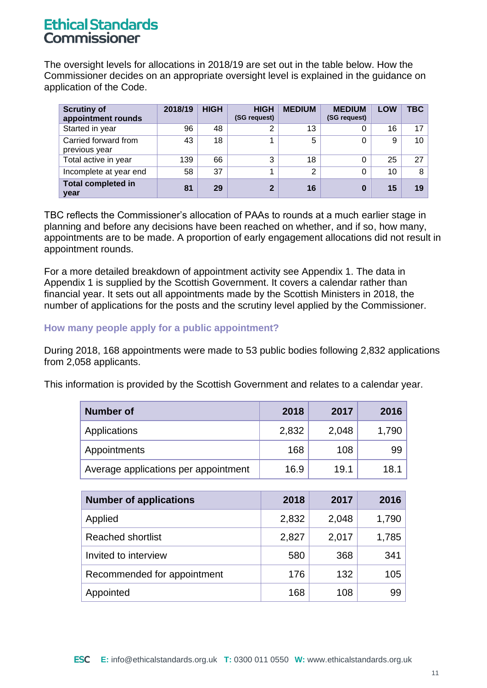The oversight levels for allocations in 2018/19 are set out in the table below. How the Commissioner decides on an appropriate oversight level is explained in the guidance on application of the Code.

| <b>Scrutiny of</b><br>appointment rounds | 2018/19 | <b>HIGH</b> | <b>HIGH</b><br>(SG request) | <b>MEDIUM</b> | <b>MEDIUM</b><br>(SG request) | <b>LOW</b> | TBC. |
|------------------------------------------|---------|-------------|-----------------------------|---------------|-------------------------------|------------|------|
| Started in year                          | 96      | 48          | ົ                           | 13            |                               | 16         | 17   |
| Carried forward from<br>previous year    | 43      | 18          |                             | 5             | 0                             | 9          | 10   |
| Total active in year                     | 139     | 66          | 3                           | 18            |                               | 25         | 27   |
| Incomplete at year end                   | 58      | 37          |                             | ◠             |                               | 10         | 8    |
| <b>Total completed in</b><br>year        | 81      | 29          | $\overline{2}$              | 16            |                               | 15         | 19   |

TBC reflects the Commissioner's allocation of PAAs to rounds at a much earlier stage in planning and before any decisions have been reached on whether, and if so, how many, appointments are to be made. A proportion of early engagement allocations did not result in appointment rounds.

For a more detailed breakdown of appointment activity see Appendix 1. The data in Appendix 1 is supplied by the Scottish Government. It covers a calendar rather than financial year. It sets out all appointments made by the Scottish Ministers in 2018, the number of applications for the posts and the scrutiny level applied by the Commissioner.

### **How many people apply for a public appointment?**

During 2018, 168 appointments were made to 53 public bodies following 2,832 applications from 2,058 applicants.

This information is provided by the Scottish Government and relates to a calendar year.

| <b>Number of</b>                     | 2018  | 2017  | 2016  |
|--------------------------------------|-------|-------|-------|
| Applications                         | 2,832 | 2,048 | 1,790 |
| Appointments                         | 168   | 108   | 99    |
| Average applications per appointment | 16.9  | 19.1  | 18.1  |
|                                      |       |       |       |
| <b>Number of applications</b>        | 2018  | 2017  | 2016  |
| Applied                              | 2,832 | 2,048 | 1,790 |
| Reached shortlist                    | 2,827 | 2,017 | 1,785 |
| Invited to interview                 | 580   | 368   | 341   |
| Recommended for appointment          | 176   | 132   | 105   |

Appointed 168 108 99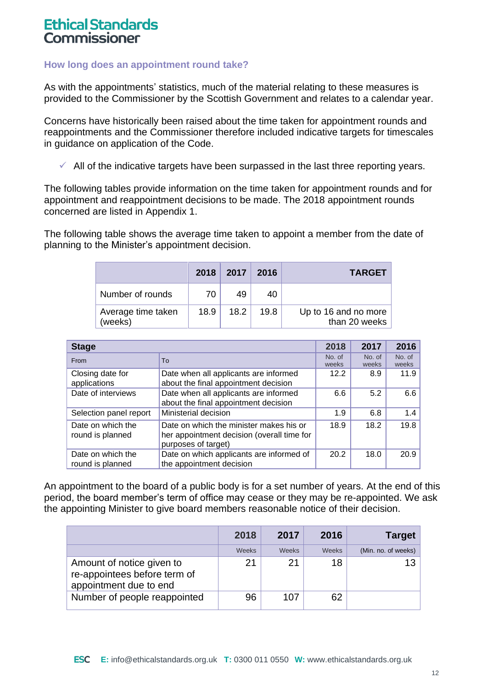### **How long does an appointment round take?**

As with the appointments' statistics, much of the material relating to these measures is provided to the Commissioner by the Scottish Government and relates to a calendar year.

Concerns have historically been raised about the time taken for appointment rounds and reappointments and the Commissioner therefore included indicative targets for timescales in guidance on application of the Code.

 $\checkmark$  All of the indicative targets have been surpassed in the last three reporting years.

The following tables provide information on the time taken for appointment rounds and for appointment and reappointment decisions to be made. The 2018 appointment rounds concerned are listed in Appendix 1.

The following table shows the average time taken to appoint a member from the date of planning to the Minister's appointment decision.

|                               |      | $2018$ 2017 2016 |      | <b>TARGET</b>                         |
|-------------------------------|------|------------------|------|---------------------------------------|
| Number of rounds              | 70.  | 49               | 40   |                                       |
| Average time taken<br>(weeks) | 18.9 | 18.2             | 19.8 | Up to 16 and no more<br>than 20 weeks |

| <b>Stage</b>                          | 2018                                                                                                         | 2017            | 2016            |                 |
|---------------------------------------|--------------------------------------------------------------------------------------------------------------|-----------------|-----------------|-----------------|
| From                                  | To                                                                                                           | No. of<br>weeks | No. of<br>weeks | No. of<br>weeks |
| Closing date for<br>applications      | Date when all applicants are informed<br>about the final appointment decision                                | 12.2            | 8.9             | 11.9            |
| Date of interviews                    | Date when all applicants are informed<br>about the final appointment decision                                | 6.6             | 5.2             | 6.6             |
| Selection panel report                | Ministerial decision                                                                                         | 1.9             | 6.8             | 1.4             |
| Date on which the<br>round is planned | Date on which the minister makes his or<br>her appointment decision (overall time for<br>purposes of target) | 18.9            | 18.2            | 19.8            |
| Date on which the<br>round is planned | Date on which applicants are informed of<br>the appointment decision                                         | 20.2            | 18.0            | 20.9            |

An appointment to the board of a public body is for a set number of years. At the end of this period, the board member's term of office may cease or they may be re-appointed. We ask the appointing Minister to give board members reasonable notice of their decision.

|                                                                                     | 2018         | 2017         | 2016         | Target              |
|-------------------------------------------------------------------------------------|--------------|--------------|--------------|---------------------|
|                                                                                     | <b>Weeks</b> | <b>Weeks</b> | <b>Weeks</b> | (Min. no. of weeks) |
| Amount of notice given to<br>re-appointees before term of<br>appointment due to end | 21           | 21           | 18           |                     |
| Number of people reappointed                                                        | 96           | 107          | 62           |                     |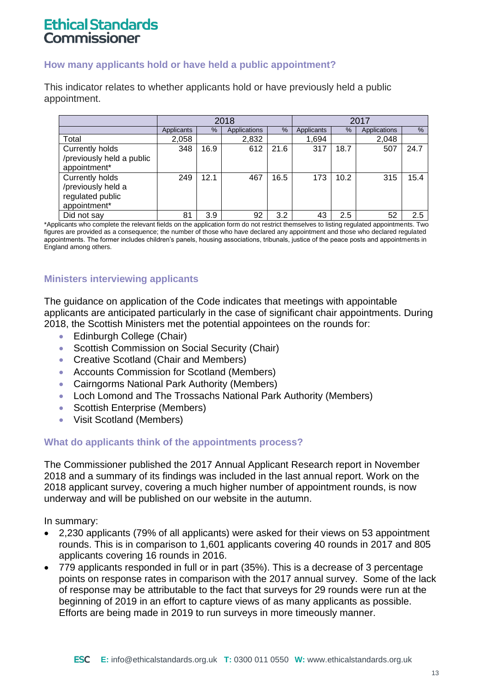### **How many applicants hold or have held a public appointment?**

This indicator relates to whether applicants hold or have previously held a public appointment.

|                                                                                  | 2018       |      |              |      | 2017       |      |              |      |
|----------------------------------------------------------------------------------|------------|------|--------------|------|------------|------|--------------|------|
|                                                                                  | Applicants | $\%$ | Applications | %    | Applicants | $\%$ | Applications | $\%$ |
| Total                                                                            | 2,058      |      | 2,832        |      | 1,694      |      | 2,048        |      |
| Currently holds<br>/previously held a public<br>appointment*                     | 348        | 16.9 | 612          | 21.6 | 317        | 18.7 | 507          | 24.7 |
| <b>Currently holds</b><br>/previously held a<br>regulated public<br>appointment* | 249        | 12.1 | 467          | 16.5 | 173        | 10.2 | 315          | 15.4 |
| Did not say                                                                      | 81         | 3.9  | 92           | 3.2  | 43         | 2.5  | 52           | 2.5  |

\*Applicants who complete the relevant fields on the application form do not restrict themselves to listing regulated appointments. Two figures are provided as a consequence; the number of those who have declared any appointment and those who declared regulated appointments. The former includes children's panels, housing associations, tribunals, justice of the peace posts and appointments in England among others.

### **Ministers interviewing applicants**

The guidance on application of the Code indicates that meetings with appointable applicants are anticipated particularly in the case of significant chair appointments. During 2018, the Scottish Ministers met the potential appointees on the rounds for:

- Edinburgh College (Chair)
- Scottish Commission on Social Security (Chair)
- Creative Scotland (Chair and Members)
- Accounts Commission for Scotland (Members)
- Cairngorms National Park Authority (Members)
- Loch Lomond and The Trossachs National Park Authority (Members)
- Scottish Enterprise (Members)
- Visit Scotland (Members)

#### **What do applicants think of the appointments process?**

The Commissioner published the 2017 Annual Applicant Research report in November 2018 and a summary of its findings was included in the last annual report. Work on the 2018 applicant survey, covering a much higher number of appointment rounds, is now underway and will be published on our website in the autumn.

In summary:

- 2,230 applicants (79% of all applicants) were asked for their views on 53 appointment rounds. This is in comparison to 1,601 applicants covering 40 rounds in 2017 and 805 applicants covering 16 rounds in 2016.
- 779 applicants responded in full or in part (35%). This is a decrease of 3 percentage points on response rates in comparison with the 2017 annual survey. Some of the lack of response may be attributable to the fact that surveys for 29 rounds were run at the beginning of 2019 in an effort to capture views of as many applicants as possible. Efforts are being made in 2019 to run surveys in more timeously manner.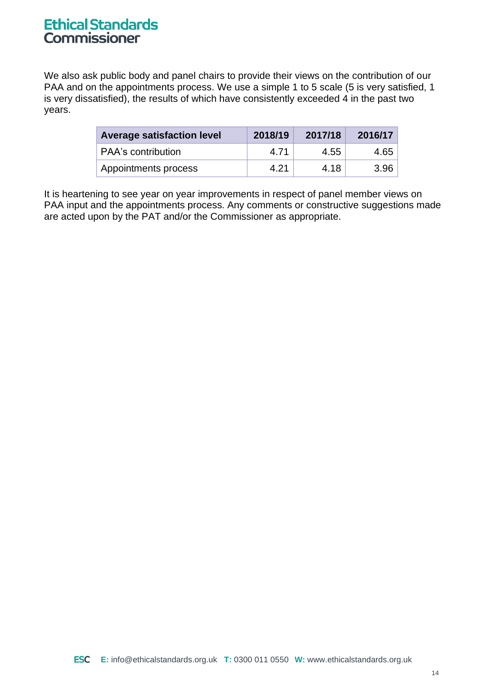We also ask public body and panel chairs to provide their views on the contribution of our PAA and on the appointments process. We use a simple 1 to 5 scale (5 is very satisfied, 1 is very dissatisfied), the results of which have consistently exceeded 4 in the past two years.

| <b>Average satisfaction level</b> | 2018/19 | 2017/18 | 2016/17 |
|-----------------------------------|---------|---------|---------|
| <b>PAA's contribution</b>         | 4.71    | 4.55    | 4.65    |
| Appointments process              | 4.21    | 4.18    | 3.96    |

It is heartening to see year on year improvements in respect of panel member views on PAA input and the appointments process. Any comments or constructive suggestions made are acted upon by the PAT and/or the Commissioner as appropriate.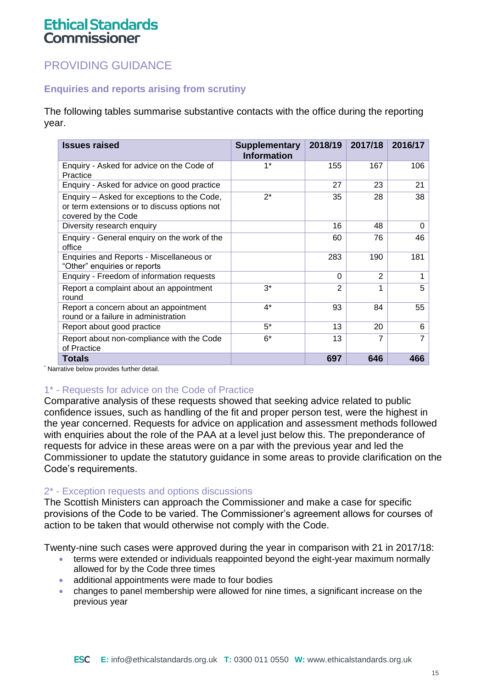### PROVIDING GUIDANCE

### **Enquiries and reports arising from scrutiny**

The following tables summarise substantive contacts with the office during the reporting year.

| <b>Issues raised</b>                                                                                               | <b>Supplementary</b><br><b>Information</b> | 2018/19      | 2017/18 | 2016/17        |
|--------------------------------------------------------------------------------------------------------------------|--------------------------------------------|--------------|---------|----------------|
| Enquiry - Asked for advice on the Code of<br>Practice                                                              | $1*$                                       | 155          | 167     | 106            |
| Enquiry - Asked for advice on good practice                                                                        |                                            | 27           | 23      | 21             |
| Enquiry – Asked for exceptions to the Code,<br>or term extensions or to discuss options not<br>covered by the Code | $2^*$                                      | 35           | 28      | 38             |
| Diversity research enquiry                                                                                         |                                            | 16           | 48      | $\Omega$       |
| Enquiry - General enquiry on the work of the<br>office                                                             |                                            | 60           | 76      | 46             |
| Enquiries and Reports - Miscellaneous or<br>"Other" enquiries or reports                                           |                                            | 283          | 190     | 181            |
| Enquiry - Freedom of information requests                                                                          |                                            | $\Omega$     | 2       |                |
| Report a complaint about an appointment<br>round                                                                   | 3*                                         | $\mathbf{2}$ | 1       | 5              |
| Report a concern about an appointment<br>round or a failure in administration                                      | $4^*$                                      | 93           | 84      | 55             |
| Report about good practice                                                                                         | $5^*$                                      | 13           | 20      | 6              |
| Report about non-compliance with the Code<br>of Practice                                                           | 6*                                         | 13           | 7       | $\overline{7}$ |
| <b>Totals</b>                                                                                                      |                                            | 697          | 646     | 466            |

\* Narrative below provides further detail.

### 1\* - Requests for advice on the Code of Practice

Comparative analysis of these requests showed that seeking advice related to public confidence issues, such as handling of the fit and proper person test, were the highest in the year concerned. Requests for advice on application and assessment methods followed with enquiries about the role of the PAA at a level just below this. The preponderance of requests for advice in these areas were on a par with the previous year and led the Commissioner to update the statutory guidance in some areas to provide clarification on the Code's requirements.

### 2\* - Exception requests and options discussions

The Scottish Ministers can approach the Commissioner and make a case for specific provisions of the Code to be varied. The Commissioner's agreement allows for courses of action to be taken that would otherwise not comply with the Code.

Twenty-nine such cases were approved during the year in comparison with 21 in 2017/18:

- terms were extended or individuals reappointed beyond the eight-year maximum normally allowed for by the Code three times
- additional appointments were made to four bodies
- changes to panel membership were allowed for nine times, a significant increase on the previous year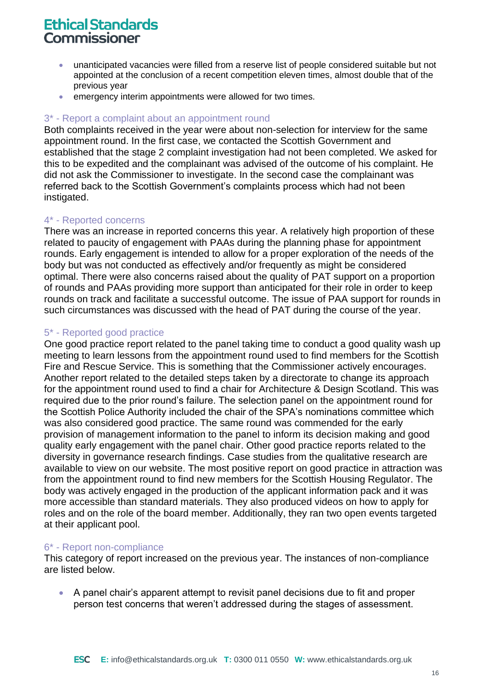- unanticipated vacancies were filled from a reserve list of people considered suitable but not appointed at the conclusion of a recent competition eleven times, almost double that of the previous year
- emergency interim appointments were allowed for two times.

#### 3\* - Report a complaint about an appointment round

Both complaints received in the year were about non-selection for interview for the same appointment round. In the first case, we contacted the Scottish Government and established that the stage 2 complaint investigation had not been completed. We asked for this to be expedited and the complainant was advised of the outcome of his complaint. He did not ask the Commissioner to investigate. In the second case the complainant was referred back to the Scottish Government's complaints process which had not been instigated.

#### 4\* - Reported concerns

There was an increase in reported concerns this year. A relatively high proportion of these related to paucity of engagement with PAAs during the planning phase for appointment rounds. Early engagement is intended to allow for a proper exploration of the needs of the body but was not conducted as effectively and/or frequently as might be considered optimal. There were also concerns raised about the quality of PAT support on a proportion of rounds and PAAs providing more support than anticipated for their role in order to keep rounds on track and facilitate a successful outcome. The issue of PAA support for rounds in such circumstances was discussed with the head of PAT during the course of the year.

#### 5\* - Reported good practice

One good practice report related to the panel taking time to conduct a good quality wash up meeting to learn lessons from the appointment round used to find members for the Scottish Fire and Rescue Service. This is something that the Commissioner actively encourages. Another report related to the detailed steps taken by a directorate to change its approach for the appointment round used to find a chair for Architecture & Design Scotland. This was required due to the prior round's failure. The selection panel on the appointment round for the Scottish Police Authority included the chair of the SPA's nominations committee which was also considered good practice. The same round was commended for the early provision of management information to the panel to inform its decision making and good quality early engagement with the panel chair. Other good practice reports related to the diversity in governance research findings. Case studies from the qualitative research are available to view on our website. The most positive report on good practice in attraction was from the appointment round to find new members for the Scottish Housing Regulator. The body was actively engaged in the production of the applicant information pack and it was more accessible than standard materials. They also produced videos on how to apply for roles and on the role of the board member. Additionally, they ran two open events targeted at their applicant pool.

#### 6\* - Report non-compliance

This category of report increased on the previous year. The instances of non-compliance are listed below.

• A panel chair's apparent attempt to revisit panel decisions due to fit and proper person test concerns that weren't addressed during the stages of assessment.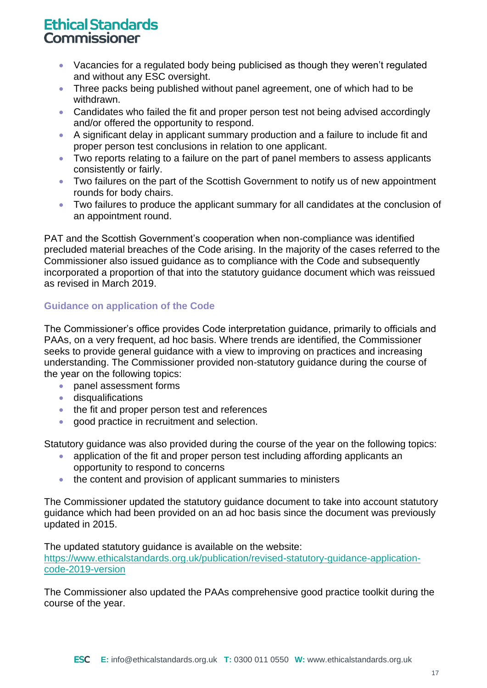- Vacancies for a regulated body being publicised as though they weren't regulated and without any ESC oversight.
- Three packs being published without panel agreement, one of which had to be withdrawn.
- Candidates who failed the fit and proper person test not being advised accordingly and/or offered the opportunity to respond.
- A significant delay in applicant summary production and a failure to include fit and proper person test conclusions in relation to one applicant.
- Two reports relating to a failure on the part of panel members to assess applicants consistently or fairly.
- Two failures on the part of the Scottish Government to notify us of new appointment rounds for body chairs.
- Two failures to produce the applicant summary for all candidates at the conclusion of an appointment round.

PAT and the Scottish Government's cooperation when non-compliance was identified precluded material breaches of the Code arising. In the majority of the cases referred to the Commissioner also issued guidance as to compliance with the Code and subsequently incorporated a proportion of that into the statutory guidance document which was reissued as revised in March 2019.

### **Guidance on application of the Code**

The Commissioner's office provides Code interpretation guidance, primarily to officials and PAAs, on a very frequent, ad hoc basis. Where trends are identified, the Commissioner seeks to provide general guidance with a view to improving on practices and increasing understanding. The Commissioner provided non-statutory guidance during the course of the year on the following topics:

- panel assessment forms
- disqualifications
- the fit and proper person test and references
- good practice in recruitment and selection.

Statutory guidance was also provided during the course of the year on the following topics:

- application of the fit and proper person test including affording applicants an opportunity to respond to concerns
- the content and provision of applicant summaries to ministers

The Commissioner updated the statutory guidance document to take into account statutory guidance which had been provided on an ad hoc basis since the document was previously updated in 2015.

The updated statutory guidance is available on the website: [https://www.ethicalstandards.org.uk/publication/revised-statutory-guidance-application](https://www.ethicalstandards.org.uk/publication/revised-statutory-guidance-application-code-2019-version)[code-2019-version](https://www.ethicalstandards.org.uk/publication/revised-statutory-guidance-application-code-2019-version)

The Commissioner also updated the PAAs comprehensive good practice toolkit during the course of the year.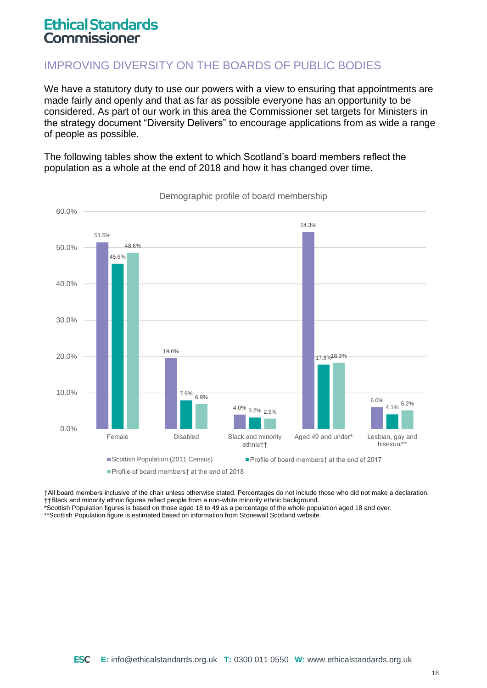### IMPROVING DIVERSITY ON THE BOARDS OF PUBLIC BODIES

We have a statutory duty to use our powers with a view to ensuring that appointments are made fairly and openly and that as far as possible everyone has an opportunity to be considered. As part of our work in this area the Commissioner set targets for Ministers in the strategy document "Diversity Delivers" to encourage applications from as wide a range of people as possible.

The following tables show the extent to which Scotland's board members reflect the population as a whole at the end of 2018 and how it has changed over time.



Demographic profile of board membership

†All board members inclusive of the chair unless otherwise stated. Percentages do not include those who did not make a declaration. ††Black and minority ethnic figures reflect people from a non-white minority ethnic background. \*Scottish Population figures is based on those aged 18 to 49 as a percentage of the whole population aged 18 and over.

\*\*Scottish Population figure is estimated based on information from Stonewall Scotland website.

Profile of board memberst at the end of 2018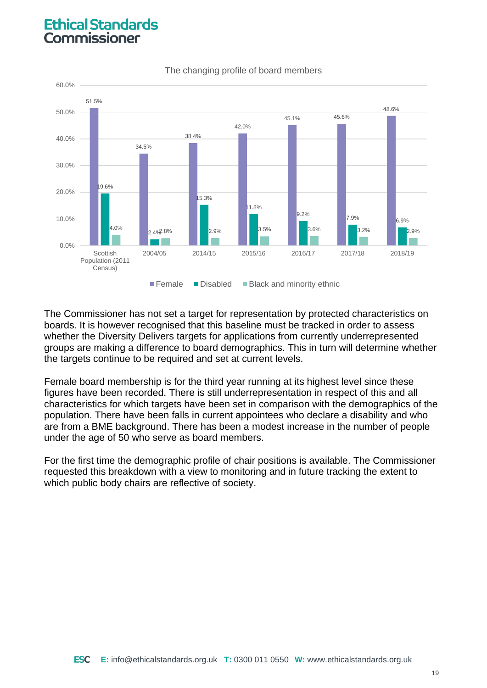

The changing profile of board members

The Commissioner has not set a target for representation by protected characteristics on boards. It is however recognised that this baseline must be tracked in order to assess whether the Diversity Delivers targets for applications from currently underrepresented groups are making a difference to board demographics. This in turn will determine whether the targets continue to be required and set at current levels.

Female board membership is for the third year running at its highest level since these figures have been recorded. There is still underrepresentation in respect of this and all characteristics for which targets have been set in comparison with the demographics of the population. There have been falls in current appointees who declare a disability and who are from a BME background. There has been a modest increase in the number of people under the age of 50 who serve as board members.

For the first time the demographic profile of chair positions is available. The Commissioner requested this breakdown with a view to monitoring and in future tracking the extent to which public body chairs are reflective of society.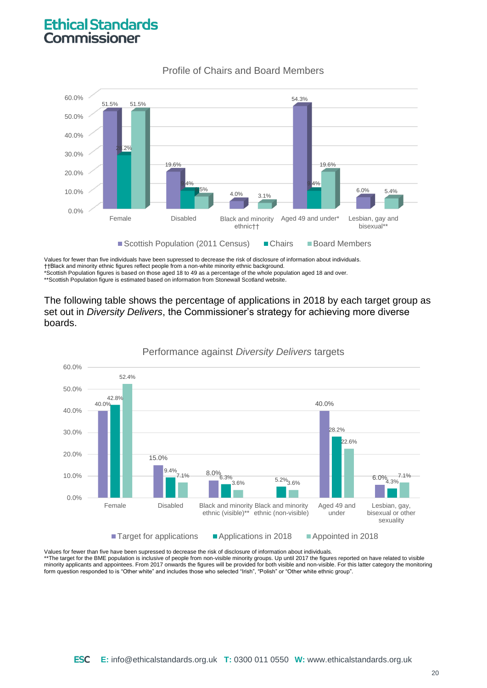

Profile of Chairs and Board Members

Values for fewer than five individuals have been supressed to decrease the risk of disclosure of information about individuals. ††Black and minority ethnic figures reflect people from a non-white minority ethnic background. \*Scottish Population figures is based on those aged 18 to 49 as a percentage of the whole population aged 18 and over.

\*\*Scottish Population figure is estimated based on information from Stonewall Scotland website.

The following table shows the percentage of applications in 2018 by each target group as set out in *Diversity Delivers*, the Commissioner's strategy for achieving more diverse boards.



Values for fewer than five have been supressed to decrease the risk of disclosure of information about individuals. \*\*The target for the BME population is inclusive of people from non-visible minority groups. Up until 2017 the figures reported on have related to visible minority applicants and appointees. From 2017 onwards the figures will be provided for both visible and non-visible. For this latter category the monitoring form question responded to is "Other white" and includes those who selected "Irish", "Polish" or "Other white ethnic group".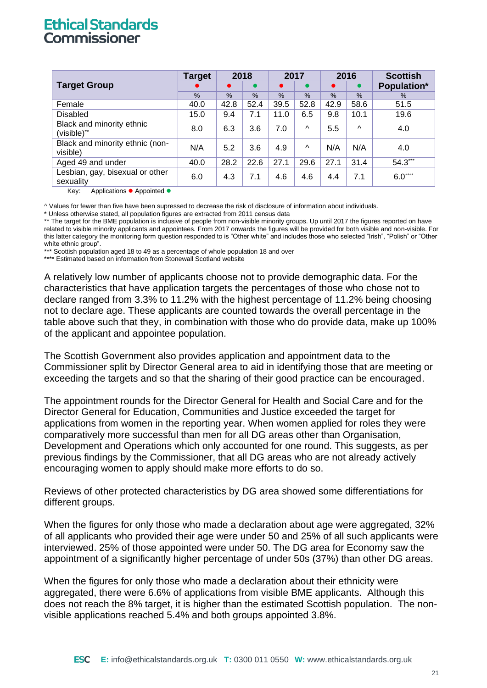|                                              | <b>Target</b> |           | 2018      |           | 2017     |               | 2016          | <b>Scottish</b> |  |
|----------------------------------------------|---------------|-----------|-----------|-----------|----------|---------------|---------------|-----------------|--|
| <b>Target Group</b>                          | ●             | $\bullet$ | $\bullet$ | $\bullet$ |          | $\bullet$     | $\bullet$     | Population*     |  |
|                                              | $\%$          | $\%$      | $\%$      | $\%$      | $\%$     | $\frac{9}{6}$ | $\frac{9}{6}$ | $\%$            |  |
| Female                                       | 40.0          | 42.8      | 52.4      | 39.5      | 52.8     | 42.9          | 58.6          | 51.5            |  |
| <b>Disabled</b>                              | 15.0          | 9.4       | 7.1       | 11.0      | 6.5      | 9.8           | 10.1          | 19.6            |  |
| Black and minority ethnic<br>(visible)**     | 8.0           | 6.3       | 3.6       | 7.0       | $\wedge$ | 5.5           | $\wedge$      | 4.0             |  |
| Black and minority ethnic (non-<br>visible)  | N/A           | 5.2       | 3.6       | 4.9       | $\wedge$ | N/A           | N/A           | 4.0             |  |
| Aged 49 and under                            | 40.0          | 28.2      | 22.6      | 27.1      | 29.6     | 27.1          | 31.4          | 54.3***         |  |
| Lesbian, gay, bisexual or other<br>sexuality | 6.0           | 4.3       | 7.1       | 4.6       | 4.6      | 4.4           | 7.1           | $6.0***$        |  |
| Kev:<br>Applications ● Appointed ●           |               |           |           |           |          |               |               |                 |  |

^ Values for fewer than five have been supressed to decrease the risk of disclosure of information about individuals.

\* Unless otherwise stated, all population figures are extracted from 2011 census data

\*\* The target for the BME population is inclusive of people from non-visible minority groups. Up until 2017 the figures reported on have related to visible minority applicants and appointees. From 2017 onwards the figures will be provided for both visible and non-visible. For this latter category the monitoring form question responded to is "Other white" and includes those who selected "Irish", "Polish" or "Other white ethnic group".

\*\* Scottish population aged 18 to 49 as a percentage of whole population 18 and over

\*\*\*\* Estimated based on information from Stonewall Scotland website

A relatively low number of applicants choose not to provide demographic data. For the characteristics that have application targets the percentages of those who chose not to declare ranged from 3.3% to 11.2% with the highest percentage of 11.2% being choosing not to declare age. These applicants are counted towards the overall percentage in the table above such that they, in combination with those who do provide data, make up 100% of the applicant and appointee population.

The Scottish Government also provides application and appointment data to the Commissioner split by Director General area to aid in identifying those that are meeting or exceeding the targets and so that the sharing of their good practice can be encouraged.

The appointment rounds for the Director General for Health and Social Care and for the Director General for Education, Communities and Justice exceeded the target for applications from women in the reporting year. When women applied for roles they were comparatively more successful than men for all DG areas other than Organisation, Development and Operations which only accounted for one round. This suggests, as per previous findings by the Commissioner, that all DG areas who are not already actively encouraging women to apply should make more efforts to do so.

Reviews of other protected characteristics by DG area showed some differentiations for different groups.

When the figures for only those who made a declaration about age were aggregated, 32% of all applicants who provided their age were under 50 and 25% of all such applicants were interviewed. 25% of those appointed were under 50. The DG area for Economy saw the appointment of a significantly higher percentage of under 50s (37%) than other DG areas.

When the figures for only those who made a declaration about their ethnicity were aggregated, there were 6.6% of applications from visible BME applicants. Although this does not reach the 8% target, it is higher than the estimated Scottish population. The nonvisible applications reached 5.4% and both groups appointed 3.8%.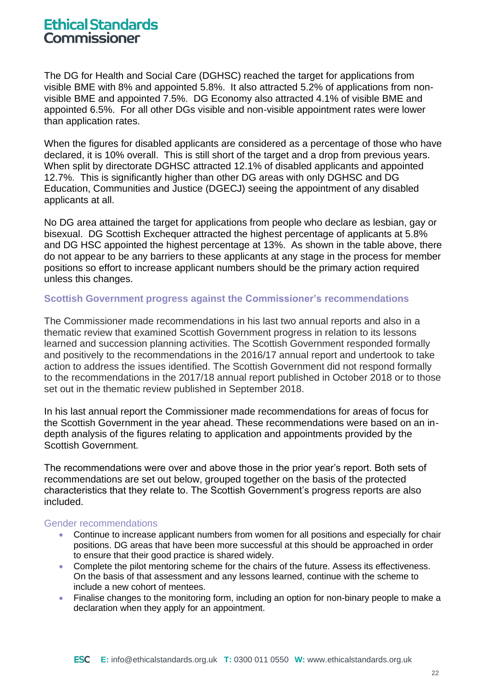The DG for Health and Social Care (DGHSC) reached the target for applications from visible BME with 8% and appointed 5.8%. It also attracted 5.2% of applications from nonvisible BME and appointed 7.5%. DG Economy also attracted 4.1% of visible BME and appointed 6.5%. For all other DGs visible and non-visible appointment rates were lower than application rates.

When the figures for disabled applicants are considered as a percentage of those who have declared, it is 10% overall. This is still short of the target and a drop from previous years. When split by directorate DGHSC attracted 12.1% of disabled applicants and appointed 12.7%. This is significantly higher than other DG areas with only DGHSC and DG Education, Communities and Justice (DGECJ) seeing the appointment of any disabled applicants at all.

No DG area attained the target for applications from people who declare as lesbian, gay or bisexual. DG Scottish Exchequer attracted the highest percentage of applicants at 5.8% and DG HSC appointed the highest percentage at 13%. As shown in the table above, there do not appear to be any barriers to these applicants at any stage in the process for member positions so effort to increase applicant numbers should be the primary action required unless this changes.

#### **Scottish Government progress against the Commissioner's recommendations**

The Commissioner made recommendations in his last two annual reports and also in a thematic review that examined Scottish Government progress in relation to its lessons learned and succession planning activities. The Scottish Government responded formally and positively to the recommendations in the 2016/17 annual report and undertook to take action to address the issues identified. The Scottish Government did not respond formally to the recommendations in the 2017/18 annual report published in October 2018 or to those set out in the thematic review published in September 2018.

In his last annual report the Commissioner made recommendations for areas of focus for the Scottish Government in the year ahead. These recommendations were based on an indepth analysis of the figures relating to application and appointments provided by the Scottish Government.

The recommendations were over and above those in the prior year's report. Both sets of recommendations are set out below, grouped together on the basis of the protected characteristics that they relate to. The Scottish Government's progress reports are also included.

#### Gender recommendations

- Continue to increase applicant numbers from women for all positions and especially for chair positions. DG areas that have been more successful at this should be approached in order to ensure that their good practice is shared widely.
- Complete the pilot mentoring scheme for the chairs of the future. Assess its effectiveness. On the basis of that assessment and any lessons learned, continue with the scheme to include a new cohort of mentees.
- Finalise changes to the monitoring form, including an option for non-binary people to make a declaration when they apply for an appointment.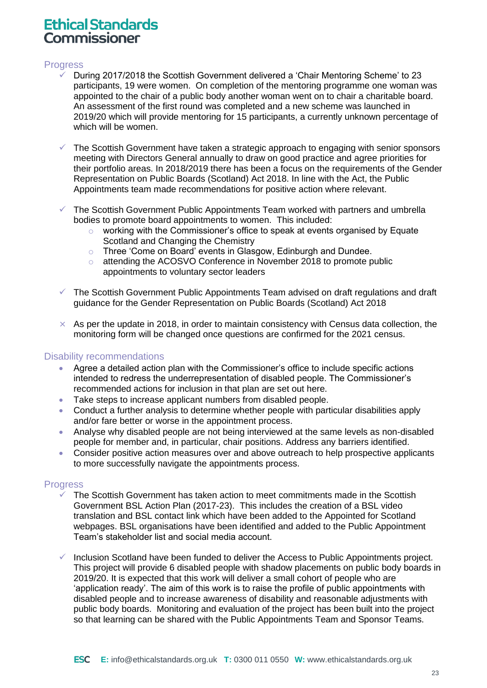#### Progress

- ✓ During 2017/2018 the Scottish Government delivered a 'Chair Mentoring Scheme' to 23 participants, 19 were women. On completion of the mentoring programme one woman was appointed to the chair of a public body another woman went on to chair a charitable board. An assessment of the first round was completed and a new scheme was launched in 2019/20 which will provide mentoring for 15 participants, a currently unknown percentage of which will be women.
- $\checkmark$  The Scottish Government have taken a strategic approach to engaging with senior sponsors meeting with Directors General annually to draw on good practice and agree priorities for their portfolio areas. In 2018/2019 there has been a focus on the requirements of the Gender Representation on Public Boards (Scotland) Act 2018. In line with the Act, the Public Appointments team made recommendations for positive action where relevant.
- $\checkmark$  The Scottish Government Public Appointments Team worked with partners and umbrella bodies to promote board appointments to women. This included:
	- $\circ$  working with the Commissioner's office to speak at events organised by Equate Scotland and Changing the Chemistry
	- o Three 'Come on Board' events in Glasgow, Edinburgh and Dundee.
	- $\circ$  attending the ACOSVO Conference in November 2018 to promote public appointments to voluntary sector leaders
- $\checkmark$  The Scottish Government Public Appointments Team advised on draft regulations and draft guidance for the Gender Representation on Public Boards (Scotland) Act 2018
- $\times$  As per the update in 2018, in order to maintain consistency with Census data collection, the monitoring form will be changed once questions are confirmed for the 2021 census.

#### Disability recommendations

- Agree a detailed action plan with the Commissioner's office to include specific actions intended to redress the underrepresentation of disabled people. The Commissioner's recommended actions for inclusion in that plan are set out here.
- Take steps to increase applicant numbers from disabled people.
- Conduct a further analysis to determine whether people with particular disabilities apply and/or fare better or worse in the appointment process.
- Analyse why disabled people are not being interviewed at the same levels as non-disabled people for member and, in particular, chair positions. Address any barriers identified.
- Consider positive action measures over and above outreach to help prospective applicants to more successfully navigate the appointments process.

#### Progress

- The Scottish Government has taken action to meet commitments made in the Scottish Government BSL Action Plan (2017-23). This includes the creation of a BSL video translation and BSL contact link which have been added to the Appointed for Scotland webpages. BSL organisations have been identified and added to the Public Appointment Team's stakeholder list and social media account.
- Inclusion Scotland have been funded to deliver the Access to Public Appointments project. This project will provide 6 disabled people with shadow placements on public body boards in 2019/20. It is expected that this work will deliver a small cohort of people who are 'application ready'. The aim of this work is to raise the profile of public appointments with disabled people and to increase awareness of disability and reasonable adjustments with public body boards. Monitoring and evaluation of the project has been built into the project so that learning can be shared with the Public Appointments Team and Sponsor Teams.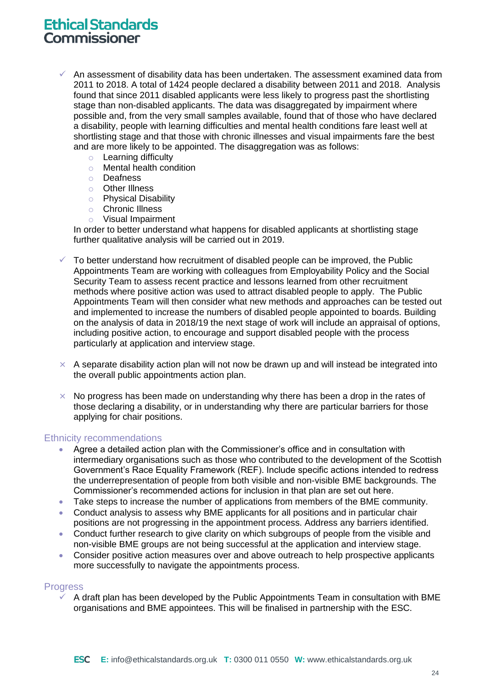- $\checkmark$  An assessment of disability data has been undertaken. The assessment examined data from 2011 to 2018. A total of 1424 people declared a disability between 2011 and 2018. Analysis found that since 2011 disabled applicants were less likely to progress past the shortlisting stage than non-disabled applicants. The data was disaggregated by impairment where possible and, from the very small samples available, found that of those who have declared a disability, people with learning difficulties and mental health conditions fare least well at shortlisting stage and that those with chronic illnesses and visual impairments fare the best and are more likely to be appointed. The disaggregation was as follows:
	- o Learning difficulty
	- o Mental health condition
	- o Deafness
	- o Other Illness
	- o Physical Disability
	- o Chronic Illness
	- o Visual Impairment

In order to better understand what happens for disabled applicants at shortlisting stage further qualitative analysis will be carried out in 2019.

- $\checkmark$  To better understand how recruitment of disabled people can be improved, the Public Appointments Team are working with colleagues from Employability Policy and the Social Security Team to assess recent practice and lessons learned from other recruitment methods where positive action was used to attract disabled people to apply. The Public Appointments Team will then consider what new methods and approaches can be tested out and implemented to increase the numbers of disabled people appointed to boards. Building on the analysis of data in 2018/19 the next stage of work will include an appraisal of options, including positive action, to encourage and support disabled people with the process particularly at application and interview stage.
- $\times$  A separate disability action plan will not now be drawn up and will instead be integrated into the overall public appointments action plan.
- $\times$  No progress has been made on understanding why there has been a drop in the rates of those declaring a disability, or in understanding why there are particular barriers for those applying for chair positions.

#### Ethnicity recommendations

- Agree a detailed action plan with the Commissioner's office and in consultation with intermediary organisations such as those who contributed to the development of the Scottish Government's Race Equality Framework (REF). Include specific actions intended to redress the underrepresentation of people from both visible and non-visible BME backgrounds. The Commissioner's recommended actions for inclusion in that plan are set out here.
- Take steps to increase the number of applications from members of the BME community.
- Conduct analysis to assess why BME applicants for all positions and in particular chair positions are not progressing in the appointment process. Address any barriers identified.
- Conduct further research to give clarity on which subgroups of people from the visible and non-visible BME groups are not being successful at the application and interview stage.
- Consider positive action measures over and above outreach to help prospective applicants more successfully to navigate the appointments process.

#### Progress

A draft plan has been developed by the Public Appointments Team in consultation with BME organisations and BME appointees. This will be finalised in partnership with the ESC.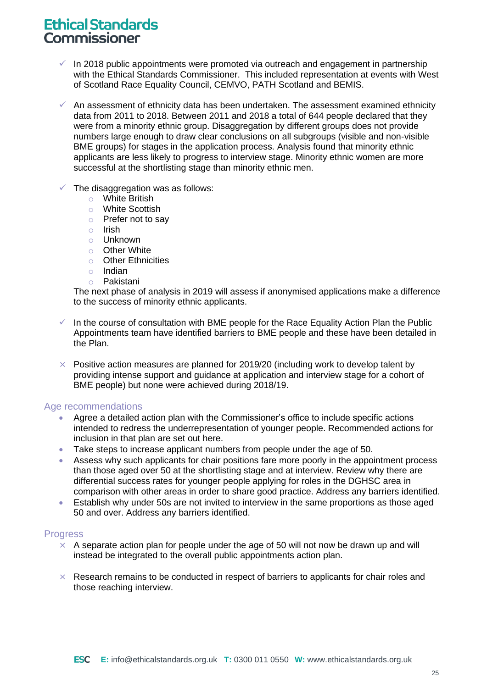- In 2018 public appointments were promoted via outreach and engagement in partnership with the Ethical Standards Commissioner. This included representation at events with West of Scotland Race Equality Council, CEMVO, PATH Scotland and BEMIS.
- $\checkmark$  An assessment of ethnicity data has been undertaken. The assessment examined ethnicity data from 2011 to 2018. Between 2011 and 2018 a total of 644 people declared that they were from a minority ethnic group. Disaggregation by different groups does not provide numbers large enough to draw clear conclusions on all subgroups (visible and non-visible BME groups) for stages in the application process. Analysis found that minority ethnic applicants are less likely to progress to interview stage. Minority ethnic women are more successful at the shortlisting stage than minority ethnic men.
- $\checkmark$  The disaggregation was as follows:
	- o White British
	- o White Scottish
	- o Prefer not to say
	- o Irish
	- o Unknown
	- o Other White
	- o Other Ethnicities
	- o Indian
	- o Pakistani

The next phase of analysis in 2019 will assess if anonymised applications make a difference to the success of minority ethnic applicants.

- $\checkmark$  In the course of consultation with BME people for the Race Equality Action Plan the Public Appointments team have identified barriers to BME people and these have been detailed in the Plan.
- $\times$  Positive action measures are planned for 2019/20 (including work to develop talent by providing intense support and guidance at application and interview stage for a cohort of BME people) but none were achieved during 2018/19.

#### Age recommendations

- Agree a detailed action plan with the Commissioner's office to include specific actions intended to redress the underrepresentation of younger people. Recommended actions for inclusion in that plan are set out here.
- Take steps to increase applicant numbers from people under the age of 50.
- Assess why such applicants for chair positions fare more poorly in the appointment process than those aged over 50 at the shortlisting stage and at interview. Review why there are differential success rates for younger people applying for roles in the DGHSC area in comparison with other areas in order to share good practice. Address any barriers identified.
- Establish why under 50s are not invited to interview in the same proportions as those aged 50 and over. Address any barriers identified.

#### Progress

- $\times$  A separate action plan for people under the age of 50 will not now be drawn up and will instead be integrated to the overall public appointments action plan.
- $\times$  Research remains to be conducted in respect of barriers to applicants for chair roles and those reaching interview.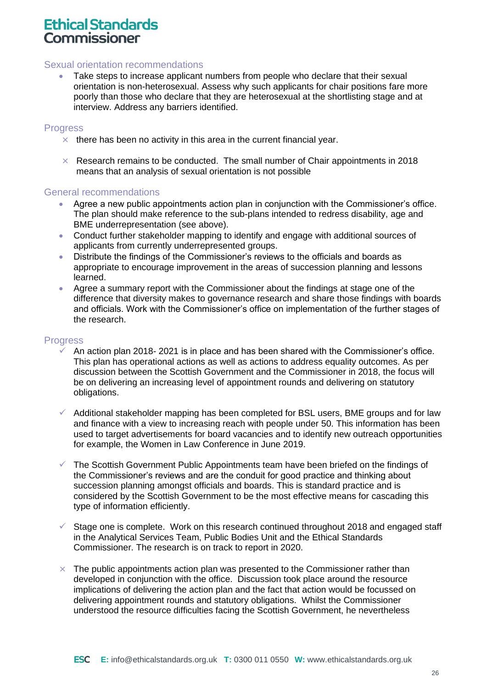#### Sexual orientation recommendations

Take steps to increase applicant numbers from people who declare that their sexual orientation is non-heterosexual. Assess why such applicants for chair positions fare more poorly than those who declare that they are heterosexual at the shortlisting stage and at interview. Address any barriers identified.

#### **Progress**

- $\times$  there has been no activity in this area in the current financial year.
- $\times$  Research remains to be conducted. The small number of Chair appointments in 2018 means that an analysis of sexual orientation is not possible

#### General recommendations

- Agree a new public appointments action plan in conjunction with the Commissioner's office. The plan should make reference to the sub-plans intended to redress disability, age and BME underrepresentation (see above).
- Conduct further stakeholder mapping to identify and engage with additional sources of applicants from currently underrepresented groups.
- Distribute the findings of the Commissioner's reviews to the officials and boards as appropriate to encourage improvement in the areas of succession planning and lessons learned.
- Agree a summary report with the Commissioner about the findings at stage one of the difference that diversity makes to governance research and share those findings with boards and officials. Work with the Commissioner's office on implementation of the further stages of the research.

### **Progress**

- An action plan 2018- 2021 is in place and has been shared with the Commissioner's office. This plan has operational actions as well as actions to address equality outcomes. As per discussion between the Scottish Government and the Commissioner in 2018, the focus will be on delivering an increasing level of appointment rounds and delivering on statutory obligations.
- $\checkmark$  Additional stakeholder mapping has been completed for BSL users, BME groups and for law and finance with a view to increasing reach with people under 50. This information has been used to target advertisements for board vacancies and to identify new outreach opportunities for example, the Women in Law Conference in June 2019.
- $\checkmark$  The Scottish Government Public Appointments team have been briefed on the findings of the Commissioner's reviews and are the conduit for good practice and thinking about succession planning amongst officials and boards. This is standard practice and is considered by the Scottish Government to be the most effective means for cascading this type of information efficiently.
- $\checkmark$  Stage one is complete. Work on this research continued throughout 2018 and engaged staff in the Analytical Services Team, Public Bodies Unit and the Ethical Standards Commissioner. The research is on track to report in 2020.
- $\times$  The public appointments action plan was presented to the Commissioner rather than developed in conjunction with the office. Discussion took place around the resource implications of delivering the action plan and the fact that action would be focussed on delivering appointment rounds and statutory obligations. Whilst the Commissioner understood the resource difficulties facing the Scottish Government, he nevertheless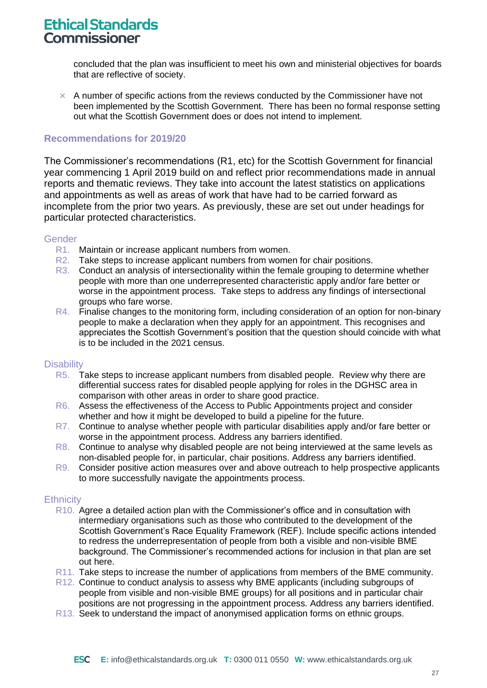concluded that the plan was insufficient to meet his own and ministerial objectives for boards that are reflective of society.

 $\times$  A number of specific actions from the reviews conducted by the Commissioner have not been implemented by the Scottish Government. There has been no formal response setting out what the Scottish Government does or does not intend to implement.

#### **Recommendations for 2019/20**

The Commissioner's recommendations (R1, etc) for the Scottish Government for financial year commencing 1 April 2019 build on and reflect prior recommendations made in annual reports and thematic reviews. They take into account the latest statistics on applications and appointments as well as areas of work that have had to be carried forward as incomplete from the prior two years. As previously, these are set out under headings for particular protected characteristics.

#### Gender

- R1. Maintain or increase applicant numbers from women.
- R2. Take steps to increase applicant numbers from women for chair positions.
- R3. Conduct an analysis of intersectionality within the female grouping to determine whether people with more than one underrepresented characteristic apply and/or fare better or worse in the appointment process. Take steps to address any findings of intersectional groups who fare worse.
- R4. Finalise changes to the monitoring form, including consideration of an option for non-binary people to make a declaration when they apply for an appointment. This recognises and appreciates the Scottish Government's position that the question should coincide with what is to be included in the 2021 census.

#### **Disability**

- R5. Take steps to increase applicant numbers from disabled people. Review why there are differential success rates for disabled people applying for roles in the DGHSC area in comparison with other areas in order to share good practice.
- R6. Assess the effectiveness of the Access to Public Appointments project and consider whether and how it might be developed to build a pipeline for the future.
- R7. Continue to analyse whether people with particular disabilities apply and/or fare better or worse in the appointment process. Address any barriers identified.
- R8. Continue to analyse why disabled people are not being interviewed at the same levels as non-disabled people for, in particular, chair positions. Address any barriers identified.
- R9. Consider positive action measures over and above outreach to help prospective applicants to more successfully navigate the appointments process.

#### **Ethnicity**

- R10. Agree a detailed action plan with the Commissioner's office and in consultation with intermediary organisations such as those who contributed to the development of the Scottish Government's Race Equality Framework (REF). Include specific actions intended to redress the underrepresentation of people from both a visible and non-visible BME background. The Commissioner's recommended actions for inclusion in that plan are set out here.
- R11. Take steps to increase the number of applications from members of the BME community.
- R12. Continue to conduct analysis to assess why BME applicants (including subgroups of people from visible and non-visible BME groups) for all positions and in particular chair positions are not progressing in the appointment process. Address any barriers identified.
- R13. Seek to understand the impact of anonymised application forms on ethnic groups.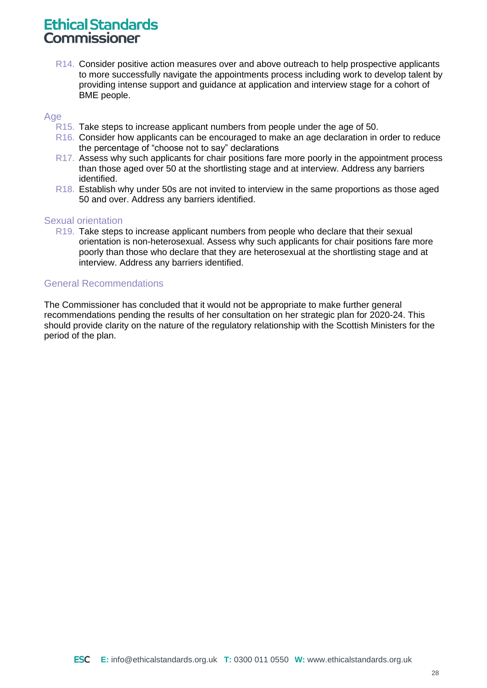R14. Consider positive action measures over and above outreach to help prospective applicants to more successfully navigate the appointments process including work to develop talent by providing intense support and guidance at application and interview stage for a cohort of BME people.

#### Age

- R15. Take steps to increase applicant numbers from people under the age of 50.
- R<sub>16</sub>. Consider how applicants can be encouraged to make an age declaration in order to reduce the percentage of "choose not to say" declarations
- R17. Assess why such applicants for chair positions fare more poorly in the appointment process than those aged over 50 at the shortlisting stage and at interview. Address any barriers identified.
- R18. Establish why under 50s are not invited to interview in the same proportions as those aged 50 and over. Address any barriers identified.

#### Sexual orientation

R<sub>19</sub>. Take steps to increase applicant numbers from people who declare that their sexual orientation is non-heterosexual. Assess why such applicants for chair positions fare more poorly than those who declare that they are heterosexual at the shortlisting stage and at interview. Address any barriers identified.

#### General Recommendations

The Commissioner has concluded that it would not be appropriate to make further general recommendations pending the results of her consultation on her strategic plan for 2020-24. This should provide clarity on the nature of the regulatory relationship with the Scottish Ministers for the period of the plan.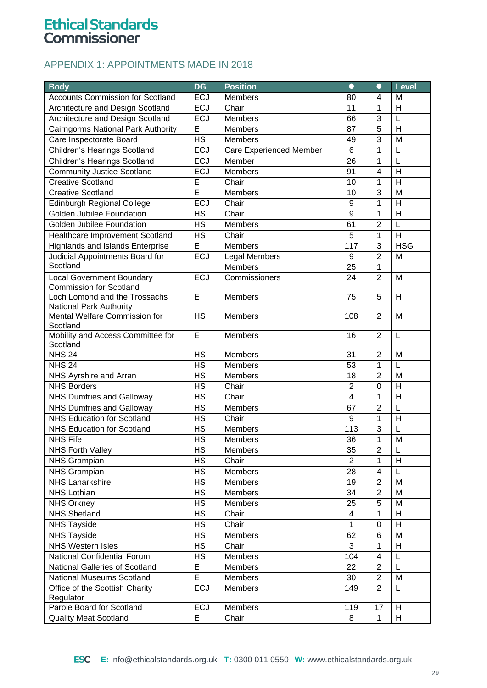### APPENDIX 1: APPOINTMENTS MADE IN 2018

| <b>Body</b>                                                        | <b>DG</b>       | <b>Position</b>         | $\bullet$      | $\bullet$      | <b>Level</b>            |
|--------------------------------------------------------------------|-----------------|-------------------------|----------------|----------------|-------------------------|
| <b>Accounts Commission for Scotland</b>                            | <b>ECJ</b>      | <b>Members</b>          | 80             | 4              | M                       |
| Architecture and Design Scotland                                   | <b>ECJ</b>      | Chair                   | 11             | 1              | $\overline{H}$          |
| Architecture and Design Scotland                                   | <b>ECJ</b>      | Members                 | 66             | 3              | L                       |
| Cairngorms National Park Authority                                 | E               | <b>Members</b>          | 87             | 5              | H                       |
| Care Inspectorate Board                                            | <b>HS</b>       | <b>Members</b>          | 49             | $\overline{3}$ | M                       |
| Children's Hearings Scotland                                       | <b>ECJ</b>      | Care Experienced Member | 6              | 1              | L                       |
| <b>Children's Hearings Scotland</b>                                | <b>ECJ</b>      | Member                  | 26             | 1              | L                       |
| <b>Community Justice Scotland</b>                                  | <b>ECJ</b>      | <b>Members</b>          | 91             | $\overline{4}$ | $\overline{\mathsf{H}}$ |
| <b>Creative Scotland</b>                                           | E               | Chair                   | 10             | $\mathbf 1$    | H                       |
| <b>Creative Scotland</b>                                           | E               | <b>Members</b>          | 10             | 3              | M                       |
| Edinburgh Regional College                                         | <b>ECJ</b>      | Chair                   | 9              | 1              | H                       |
| Golden Jubilee Foundation                                          | <b>HS</b>       | Chair                   | 9              | 1              | $\overline{H}$          |
| Golden Jubilee Foundation                                          | <b>HS</b>       | <b>Members</b>          | 61             | $\overline{2}$ | L                       |
| Healthcare Improvement Scotland                                    | $\overline{HS}$ | Chair                   | 5              | $\mathbf 1$    | $\overline{\mathsf{H}}$ |
| Highlands and Islands Enterprise                                   | E               | <b>Members</b>          | 117            | 3              | <b>HSG</b>              |
| Judicial Appointments Board for                                    | <b>ECJ</b>      | <b>Legal Members</b>    | 9              | $\overline{2}$ | M                       |
| Scotland                                                           |                 | <b>Members</b>          | 25             | 1              |                         |
| <b>Local Government Boundary</b><br><b>Commission for Scotland</b> | <b>ECJ</b>      | Commissioners           | 24             | $\overline{2}$ | M                       |
| Loch Lomond and the Trossachs<br>National Park Authority           | E.              | Members                 | 75             | 5              | H                       |
| Mental Welfare Commission for<br>Scotland                          | <b>HS</b>       | <b>Members</b>          | 108            | $\overline{2}$ | M                       |
| Mobility and Access Committee for<br>Scotland                      | E               | <b>Members</b>          | 16             | $\overline{2}$ | L                       |
| <b>NHS 24</b>                                                      | <b>HS</b>       | <b>Members</b>          | 31             | $\overline{2}$ | M                       |
| <b>NHS 24</b>                                                      | <b>HS</b>       | <b>Members</b>          | 53             | 1              | L                       |
| NHS Ayrshire and Arran                                             | <b>HS</b>       | Members                 | 18             | $\overline{2}$ | M                       |
| <b>NHS Borders</b>                                                 | <b>HS</b>       | Chair                   | $\overline{2}$ | $\mathbf 0$    | H                       |
| NHS Dumfries and Galloway                                          | <b>HS</b>       | Chair                   | $\overline{4}$ | 1              | H                       |
| NHS Dumfries and Galloway                                          | $\overline{HS}$ | <b>Members</b>          | 67             | $\overline{2}$ | L                       |
| <b>NHS Education for Scotland</b>                                  | <b>HS</b>       | Chair                   | 9              | $\mathbf{1}$   | $\overline{H}$          |
| <b>NHS Education for Scotland</b>                                  | <b>HS</b>       | <b>Members</b>          | 113            | 3              | L                       |
| <b>NHS Fife</b>                                                    | <b>HS</b>       | Members                 | 36             | 1              | M                       |
| NHS Forth Valley                                                   | <b>HS</b>       | Members                 | 35             | $\overline{2}$ | L                       |
| <b>NHS Grampian</b>                                                | <b>HS</b>       | Chair                   | $\overline{2}$ | 1              | H                       |
| NHS Grampian                                                       | <b>HS</b>       | <b>Members</b>          | 28             | 4              | L                       |
| <b>NHS Lanarkshire</b>                                             | <b>HS</b>       | Members                 | 19             | $\overline{2}$ | M                       |
| <b>NHS Lothian</b>                                                 | <b>HS</b>       | Members                 | 34             | $\overline{2}$ | M                       |
| <b>NHS Orkney</b>                                                  | <b>HS</b>       | Members                 | 25             | 5              | M                       |
| <b>NHS Shetland</b>                                                | <b>HS</b>       | Chair                   | $\overline{4}$ | 1              | H                       |
| <b>NHS Tayside</b>                                                 | <b>HS</b>       | Chair                   | 1              | 0              | H                       |
| <b>NHS Tayside</b>                                                 | <b>HS</b>       | Members                 | 62             | 6              | M                       |
| <b>NHS Western Isles</b>                                           | <b>HS</b>       | Chair                   | 3              | 1              | H                       |
| National Confidential Forum                                        | <b>HS</b>       | <b>Members</b>          | 104            | 4              | L                       |
| National Galleries of Scotland                                     | E               | <b>Members</b>          | 22             | $\overline{2}$ | L                       |
| National Museums Scotland                                          | E               | <b>Members</b>          | 30             | $\overline{2}$ | M                       |
| Office of the Scottish Charity<br>Regulator                        | <b>ECJ</b>      | <b>Members</b>          | 149            | $\overline{2}$ | L                       |
| Parole Board for Scotland                                          | <b>ECJ</b>      | <b>Members</b>          | 119            | 17             | H                       |
| <b>Quality Meat Scotland</b>                                       | E               | Chair                   | 8              | $\mathbf{1}$   | H                       |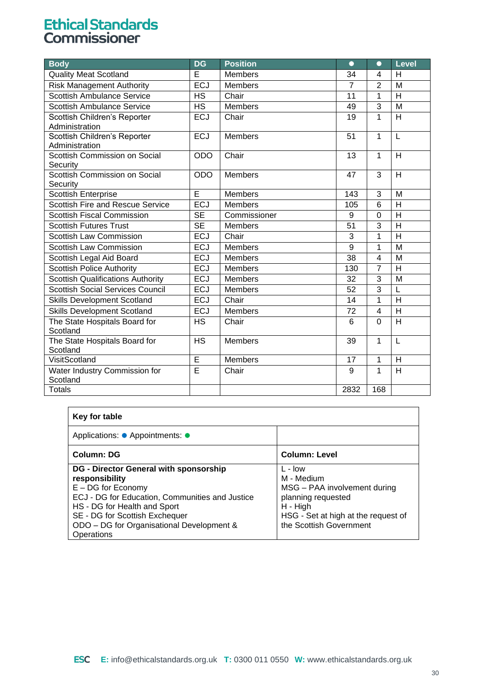| <b>Body</b>                                    | <b>DG</b>  | <b>Position</b> | $\bullet$       | $\bullet$      | <b>Level</b>            |
|------------------------------------------------|------------|-----------------|-----------------|----------------|-------------------------|
| <b>Quality Meat Scotland</b>                   | E          | <b>Members</b>  | 34              | 4              | H                       |
| <b>Risk Management Authority</b>               | <b>ECJ</b> | <b>Members</b>  | $\overline{7}$  | $\overline{2}$ | M                       |
| <b>Scottish Ambulance Service</b>              | <b>HS</b>  | Chair           | 11              | 1              | H                       |
| Scottish Ambulance Service                     | <b>HS</b>  | <b>Members</b>  | 49              | 3              | M                       |
| Scottish Children's Reporter<br>Administration | <b>ECJ</b> | Chair           | 19              | $\mathbf{1}$   | $\overline{\mathsf{H}}$ |
| Scottish Children's Reporter<br>Administration | <b>ECJ</b> | Members         | 51              | 1              | L                       |
| Scottish Commission on Social<br>Security      | <b>ODO</b> | Chair           | 13              | 1              | H                       |
| Scottish Commission on Social<br>Security      | <b>ODO</b> | <b>Members</b>  | 47              | 3              | H                       |
| <b>Scottish Enterprise</b>                     | E          | <b>Members</b>  | 143             | 3              | M                       |
| Scottish Fire and Rescue Service               | ECJ        | <b>Members</b>  | 105             | 6              | H                       |
| <b>Scottish Fiscal Commission</b>              | <b>SE</b>  | Commissioner    | 9               | $\overline{0}$ | H                       |
| <b>Scottish Futures Trust</b>                  | <b>SE</b>  | <b>Members</b>  | 51              | 3              | H                       |
| Scottish Law Commission                        | <b>ECJ</b> | Chair           | 3               | 1              | H                       |
| Scottish Law Commission                        | <b>ECJ</b> | Members         | $\overline{9}$  | 1              | M                       |
| Scottish Legal Aid Board                       | <b>ECJ</b> | <b>Members</b>  | 38              | $\overline{4}$ | M                       |
| <b>Scottish Police Authority</b>               | <b>ECJ</b> | <b>Members</b>  | 130             | $\overline{7}$ | $\overline{\mathsf{H}}$ |
| <b>Scottish Qualifications Authority</b>       | <b>ECJ</b> | <b>Members</b>  | $\overline{32}$ | $\overline{3}$ | $\overline{\mathsf{M}}$ |
| <b>Scottish Social Services Council</b>        | <b>ECJ</b> | <b>Members</b>  | 52              | 3              | L                       |
| <b>Skills Development Scotland</b>             | <b>ECJ</b> | Chair           | 14              | 1              | $\overline{\mathsf{H}}$ |
| <b>Skills Development Scotland</b>             | <b>ECJ</b> | <b>Members</b>  | 72              | $\overline{4}$ | $\overline{\mathsf{H}}$ |
| The State Hospitals Board for<br>Scotland      | <b>HS</b>  | Chair           | 6               | $\Omega$       | H                       |
| The State Hospitals Board for<br>Scotland      | <b>HS</b>  | <b>Members</b>  | 39              | 1              | L                       |
| VisitScotland                                  | Ē          | <b>Members</b>  | 17              | $\mathbf{1}$   | H                       |
| Water Industry Commission for<br>Scotland      | Ē          | Chair           | 9               | $\mathbf{1}$   | H                       |
| <b>Totals</b>                                  |            |                 | 2832            | 168            |                         |

| Key for table                                                                                                                                                                                                                                                           |                                                                                                                                                             |
|-------------------------------------------------------------------------------------------------------------------------------------------------------------------------------------------------------------------------------------------------------------------------|-------------------------------------------------------------------------------------------------------------------------------------------------------------|
| Applications: ● Appointments: ●                                                                                                                                                                                                                                         |                                                                                                                                                             |
| <b>Column: DG</b>                                                                                                                                                                                                                                                       | <b>Column: Level</b>                                                                                                                                        |
| <b>DG - Director General with sponsorship</b><br>responsibility<br>$E - DG$ for Economy<br>ECJ - DG for Education, Communities and Justice<br>HS - DG for Health and Sport<br>SE - DG for Scottish Exchequer<br>ODO - DG for Organisational Development &<br>Operations | $L - low$<br>M - Medium<br>MSG - PAA involvement during<br>planning requested<br>H - High<br>HSG - Set at high at the request of<br>the Scottish Government |